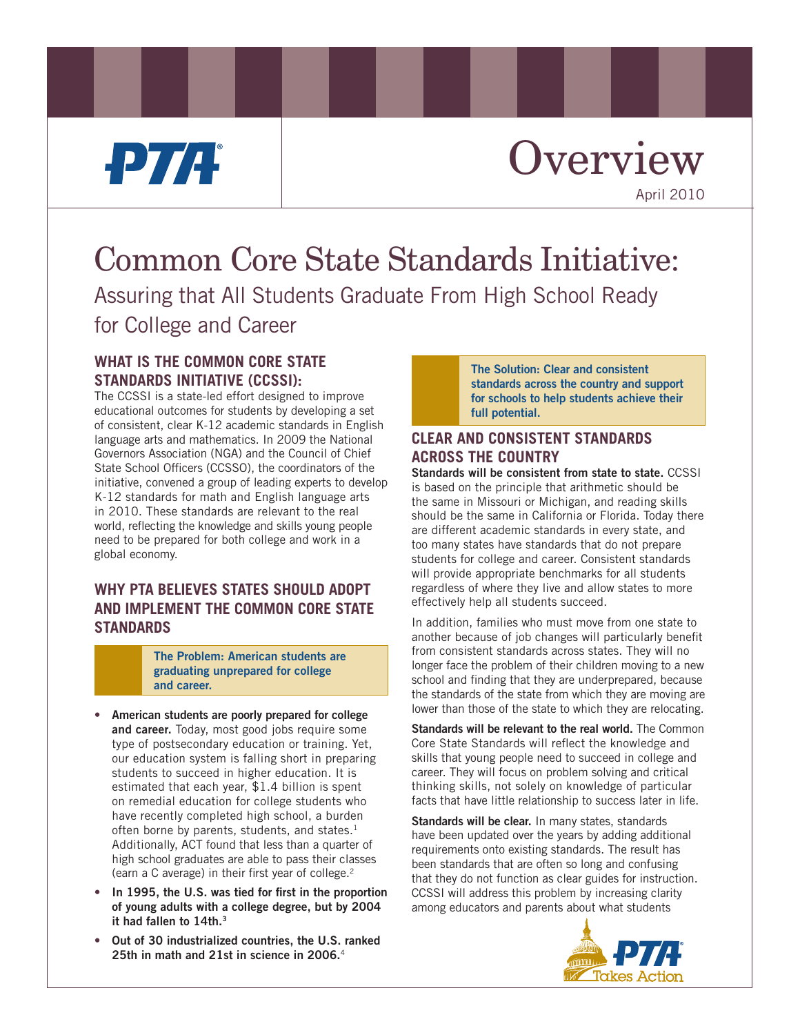# PTA.

# **Overview** April 2010

# Common Core State Standards Initiative: Assuring that All Students Graduate From High School Ready for College and Career

### **WHAT IS THE COMMON CORE STATE STANDARDS INITIATIVE (CCSSI):**

The CCSSI is a state-led effort designed to improve educational outcomes for students by developing a set of consistent, clear K-12 academic standards in English language arts and mathematics. In 2009 the National Governors Association (NGA) and the Council of Chief State School Officers (CCSSO), the coordinators of the initiative, convened a group of leading experts to develop K-12 standards for math and English language arts in 2010. These standards are relevant to the real world, reflecting the knowledge and skills young people need to be prepared for both college and work in a global economy.

## **WHY PTA BELIEVES STATES SHOULD ADOPT AND IMPLEMENT THE COMMON CORE STATE STANDARDS**

**The Problem: American students are graduating unprepared for college and career.**

- **• American students are poorly prepared for college and career.** Today, most good jobs require some type of postsecondary education or training. Yet, our education system is falling short in preparing students to succeed in higher education. It is estimated that each year, \$1.4 billion is spent on remedial education for college students who have recently completed high school, a burden often borne by parents, students, and states.<sup>1</sup> Additionally, ACT found that less than a quarter of high school graduates are able to pass their classes (earn a C average) in their first year of college.2
- **• In 1995, the U.S. was tied for first in the proportion of young adults with a college degree, but by 2004 it had fallen to 14th.3**
- **• Out of 30 industrialized countries, the U.S. ranked 25th in math and 21st in science in 2006.**<sup>4</sup>

**The Solution: Clear and consistent standards across the country and support for schools to help students achieve their full potential.**

## **CLEAR AND CONSISTENT STANDARDS ACROSS THE COUNTRY**

**Standards will be consistent from state to state.** CCSSI is based on the principle that arithmetic should be the same in Missouri or Michigan, and reading skills should be the same in California or Florida. Today there are different academic standards in every state, and too many states have standards that do not prepare students for college and career. Consistent standards will provide appropriate benchmarks for all students regardless of where they live and allow states to more effectively help all students succeed.

In addition, families who must move from one state to another because of job changes will particularly benefit from consistent standards across states. They will no longer face the problem of their children moving to a new school and finding that they are underprepared, because the standards of the state from which they are moving are lower than those of the state to which they are relocating.

**Standards will be relevant to the real world.** The Common Core State Standards will reflect the knowledge and skills that young people need to succeed in college and career. They will focus on problem solving and critical thinking skills, not solely on knowledge of particular facts that have little relationship to success later in life.

**Standards will be clear.** In many states, standards have been updated over the years by adding additional requirements onto existing standards. The result has been standards that are often so long and confusing that they do not function as clear guides for instruction. CCSSI will address this problem by increasing clarity among educators and parents about what students